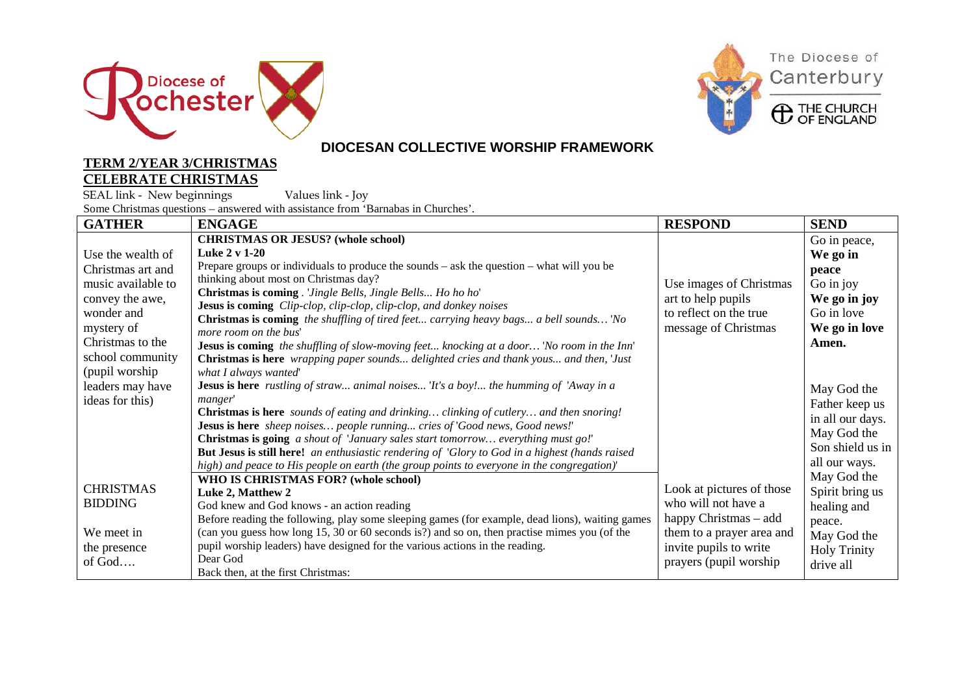







### **DIOCESAN COLLECTIVE WORSHIP FRAMEWORK**

#### **TERM 2/YEAR 3/CHRISTMAS CELEBRATE CHRISTMAS**

SEAL link - New beginnings Values link - Joy Some Christmas questions – answered with assistance from 'Barnabas in Churches'.

| <b>GATHER</b>      | <b>ENGAGE</b>                                                                                                  | <b>RESPOND</b>            | <b>SEND</b>         |
|--------------------|----------------------------------------------------------------------------------------------------------------|---------------------------|---------------------|
|                    | <b>CHRISTMAS OR JESUS?</b> (whole school)                                                                      |                           | Go in peace,        |
| Use the wealth of  | Luke 2 v 1-20                                                                                                  |                           | We go in            |
| Christmas art and  | Prepare groups or individuals to produce the sounds $-$ ask the question $-$ what will you be                  |                           | peace               |
| music available to | thinking about most on Christmas day?                                                                          | Use images of Christmas   | Go in joy           |
| convey the awe,    | Christmas is coming. 'Jingle Bells, Jingle Bells Ho ho ho'                                                     | art to help pupils        | We go in joy        |
| wonder and         | Jesus is coming Clip-clop, clip-clop, clip-clop, and donkey noises                                             | to reflect on the true    | Go in love          |
| mystery of         | <b>Christmas is coming</b> the shuffling of tired feet carrying heavy bags a bell sounds 'No                   | message of Christmas      | We go in love       |
| Christmas to the   | more room on the bus'                                                                                          |                           | Amen.               |
| school community   | <b>Jesus is coming</b> the shuffling of slow-moving feet knocking at a door 'No room in the Inn'               |                           |                     |
| (pupil worship     | Christmas is here wrapping paper sounds delighted cries and thank yous and then, 'Just<br>what I always wanted |                           |                     |
| leaders may have   | <b>Jesus is here</b> rustling of straw animal noises 'It's a boy! the humming of 'Away in a                    |                           |                     |
|                    | manger'                                                                                                        |                           | May God the         |
| ideas for this)    | <b>Christmas is here</b> sounds of eating and drinking clinking of cutlery and then snoring!                   |                           | Father keep us      |
|                    | Jesus is here sheep noises people running cries of 'Good news, Good news!'                                     |                           | in all our days.    |
|                    | Christmas is going a shout of 'January sales start tomorrow everything must go!'                               |                           | May God the         |
|                    | <b>But Jesus is still here!</b> an enthusiastic rendering of 'Glory to God in a highest (hands raised          |                           | Son shield us in    |
|                    | high) and peace to His people on earth (the group points to everyone in the congregation)'                     |                           | all our ways.       |
|                    | WHO IS CHRISTMAS FOR? (whole school)                                                                           |                           | May God the         |
| <b>CHRISTMAS</b>   | Luke 2, Matthew 2                                                                                              | Look at pictures of those | Spirit bring us     |
| <b>BIDDING</b>     | God knew and God knows - an action reading                                                                     | who will not have a       | healing and         |
|                    | Before reading the following, play some sleeping games (for example, dead lions), waiting games                | happy Christmas - add     | peace.              |
| We meet in         | (can you guess how long 15, 30 or 60 seconds is?) and so on, then practise mimes you (of the                   | them to a prayer area and | May God the         |
| the presence       | pupil worship leaders) have designed for the various actions in the reading.                                   | invite pupils to write    | <b>Holy Trinity</b> |
| of God             | Dear God                                                                                                       | prayers (pupil worship    | drive all           |
|                    | Back then, at the first Christmas:                                                                             |                           |                     |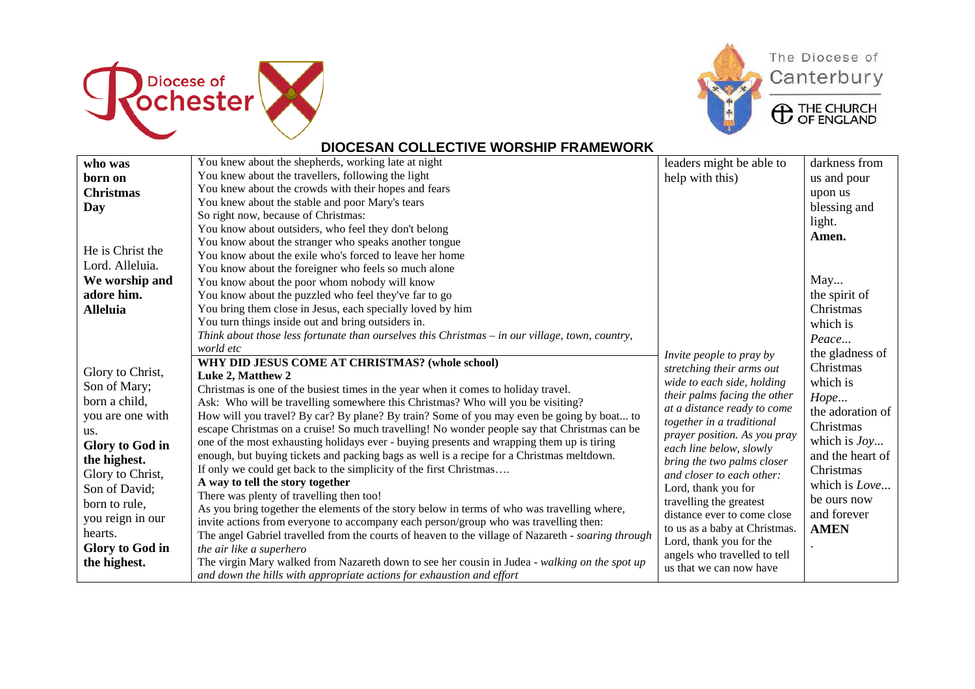



The Diocese of Canterbury

**ED** THE CHURCH

### **DIOCESAN COLLECTIVE WORSHIP FRAMEWORK**

| who was          | You knew about the shepherds, working late at night                                                | leaders might be able to            | darkness from    |
|------------------|----------------------------------------------------------------------------------------------------|-------------------------------------|------------------|
| born on          | You knew about the travellers, following the light                                                 | help with this)                     | us and pour      |
| <b>Christmas</b> | You knew about the crowds with their hopes and fears                                               |                                     | upon us          |
| Day              | You knew about the stable and poor Mary's tears                                                    |                                     | blessing and     |
|                  | So right now, because of Christmas:                                                                |                                     | light.           |
|                  | You know about outsiders, who feel they don't belong                                               |                                     |                  |
|                  | You know about the stranger who speaks another tongue                                              |                                     | Amen.            |
| He is Christ the | You know about the exile who's forced to leave her home                                            |                                     |                  |
| Lord. Alleluia.  | You know about the foreigner who feels so much alone                                               |                                     |                  |
| We worship and   | You know about the poor whom nobody will know                                                      |                                     | May              |
| adore him.       | You know about the puzzled who feel they've far to go                                              |                                     | the spirit of    |
| <b>Alleluia</b>  | You bring them close in Jesus, each specially loved by him                                         |                                     | Christmas        |
|                  | You turn things inside out and bring outsiders in.                                                 |                                     | which is         |
|                  | Think about those less fortunate than ourselves this Christmas – in our village, town, country,    |                                     | Peace            |
|                  | world etc                                                                                          | Invite people to pray by            | the gladness of  |
|                  | WHY DID JESUS COME AT CHRISTMAS? (whole school)                                                    | stretching their arms out           | Christmas        |
| Glory to Christ, | Luke 2, Matthew 2                                                                                  | wide to each side, holding          | which is         |
| Son of Mary;     | Christmas is one of the busiest times in the year when it comes to holiday travel.                 | their palms facing the other        |                  |
| born a child,    | Ask: Who will be travelling somewhere this Christmas? Who will you be visiting?                    | at a distance ready to come         | Hope             |
| you are one with | How will you travel? By car? By plane? By train? Some of you may even be going by boat to          | together in a traditional           | the adoration of |
| us.              | escape Christmas on a cruise! So much travelling! No wonder people say that Christmas can be       | <i>prayer position. As you pray</i> | Christmas        |
| Glory to God in  | one of the most exhausting holidays ever - buying presents and wrapping them up is tiring          | each line below, slowly             | which is $Jov$   |
| the highest.     | enough, but buying tickets and packing bags as well is a recipe for a Christmas meltdown.          | bring the two palms closer          | and the heart of |
| Glory to Christ, | If only we could get back to the simplicity of the first Christmas                                 | and closer to each other:           | Christmas        |
| Son of David;    | A way to tell the story together                                                                   | Lord, thank you for                 | which is Love    |
|                  | There was plenty of travelling then too!                                                           | travelling the greatest             | be ours now      |
| born to rule,    | As you bring together the elements of the story below in terms of who was travelling where,        | distance ever to come close         | and forever      |
| you reign in our | invite actions from everyone to accompany each person/group who was travelling then:               | to us as a baby at Christmas.       | <b>AMEN</b>      |
| hearts.          | The angel Gabriel travelled from the courts of heaven to the village of Nazareth - soaring through | Lord, thank you for the             |                  |
| Glory to God in  | the air like a superhero                                                                           | angels who travelled to tell        |                  |
| the highest.     | The virgin Mary walked from Nazareth down to see her cousin in Judea - walking on the spot up      | us that we can now have             |                  |
|                  | and down the hills with appropriate actions for exhaustion and effort                              |                                     |                  |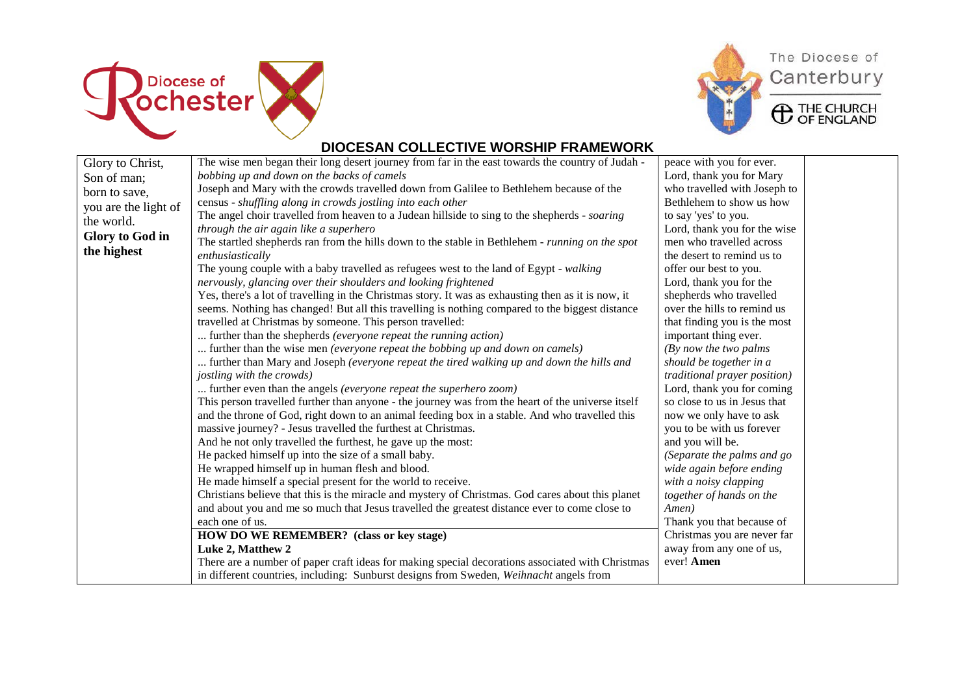



# The Diocese of Canterbury

**ED** THE CHURCH

### **DIOCESAN COLLECTIVE WORSHIP FRAMEWORK**

| Glory to Christ,     | The wise men began their long desert journey from far in the east towards the country of Judah -    | peace with you for ever.     |
|----------------------|-----------------------------------------------------------------------------------------------------|------------------------------|
| Son of man;          | bobbing up and down on the backs of camels                                                          | Lord, thank you for Mary     |
| born to save,        | Joseph and Mary with the crowds travelled down from Galilee to Bethlehem because of the             | who travelled with Joseph to |
| you are the light of | census - shuffling along in crowds jostling into each other                                         | Bethlehem to show us how     |
| the world.           | The angel choir travelled from heaven to a Judean hillside to sing to the shepherds - soaring       | to say 'yes' to you.         |
|                      | through the air again like a superhero                                                              | Lord, thank you for the wise |
| Glory to God in      | The startled shepherds ran from the hills down to the stable in Bethlehem - running on the spot     | men who travelled across     |
| the highest          | enthusiastically                                                                                    | the desert to remind us to   |
|                      | The young couple with a baby travelled as refugees west to the land of Egypt - walking              | offer our best to you.       |
|                      | nervously, glancing over their shoulders and looking frightened                                     | Lord, thank you for the      |
|                      | Yes, there's a lot of travelling in the Christmas story. It was as exhausting then as it is now, it | shepherds who travelled      |
|                      | seems. Nothing has changed! But all this travelling is nothing compared to the biggest distance     | over the hills to remind us  |
|                      | travelled at Christmas by someone. This person travelled:                                           | that finding you is the most |
|                      | further than the shepherds (everyone repeat the running action)                                     | important thing ever.        |
|                      | further than the wise men (everyone repeat the bobbing up and down on camels)                       | (By now the two palms)       |
|                      | further than Mary and Joseph (everyone repeat the tired walking up and down the hills and           | should be together in a      |
|                      | jostling with the crowds)                                                                           | traditional prayer position) |
|                      | further even than the angels (everyone repeat the superhero zoom)                                   | Lord, thank you for coming   |
|                      | This person travelled further than anyone - the journey was from the heart of the universe itself   | so close to us in Jesus that |
|                      | and the throne of God, right down to an animal feeding box in a stable. And who travelled this      | now we only have to ask      |
|                      | massive journey? - Jesus travelled the furthest at Christmas.                                       | you to be with us forever    |
|                      | And he not only travelled the furthest, he gave up the most:                                        | and you will be.             |
|                      | He packed himself up into the size of a small baby.                                                 | (Separate the palms and go   |
|                      | He wrapped himself up in human flesh and blood.                                                     | wide again before ending     |
|                      | He made himself a special present for the world to receive.                                         | with a noisy clapping        |
|                      | Christians believe that this is the miracle and mystery of Christmas. God cares about this planet   | together of hands on the     |
|                      | and about you and me so much that Jesus travelled the greatest distance ever to come close to       | Amen)                        |
|                      | each one of us.                                                                                     | Thank you that because of    |
|                      | HOW DO WE REMEMBER? (class or key stage)                                                            | Christmas you are never far  |
|                      | Luke 2, Matthew 2                                                                                   | away from any one of us,     |
|                      | There are a number of paper craft ideas for making special decorations associated with Christmas    | ever! Amen                   |
|                      | in different countries, including: Sunburst designs from Sweden, Weihnacht angels from              |                              |